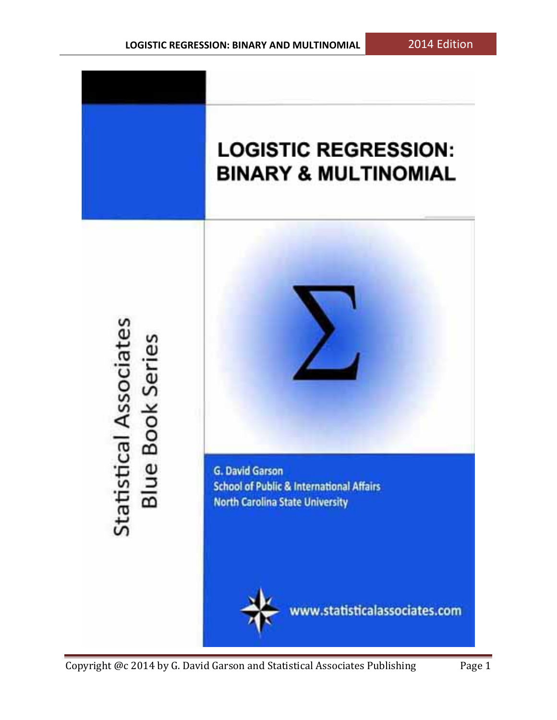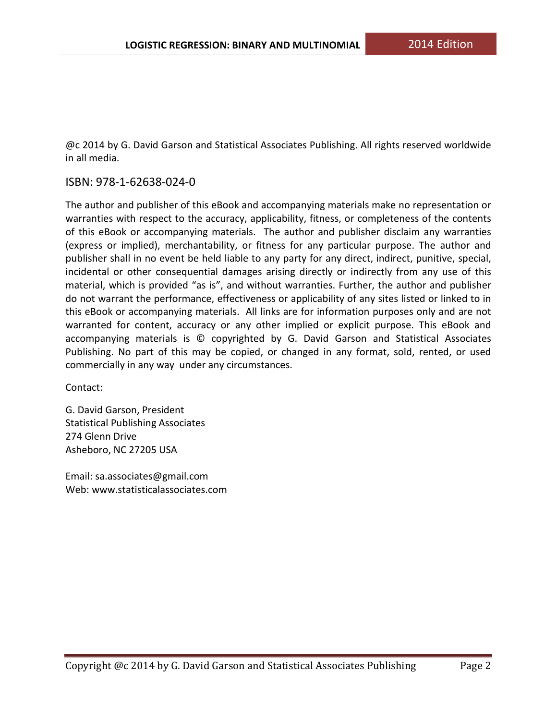@c 2014 by G. David Garson and Statistical Associates Publishing. All rights reserved worldwide in all media.

#### ISBN: 978-1-62638-024-0

The author and publisher of this eBook and accompanying materials make no representation or warranties with respect to the accuracy, applicability, fitness, or completeness of the contents of this eBook or accompanying materials. The author and publisher disclaim any warranties (express or implied), merchantability, or fitness for any particular purpose. The author and publisher shall in no event be held liable to any party for any direct, indirect, punitive, special, incidental or other consequential damages arising directly or indirectly from any use of this material, which is provided "as is", and without warranties. Further, the author and publisher do not warrant the performance, effectiveness or applicability of any sites listed or linked to in this eBook or accompanying materials. All links are for information purposes only and are not warranted for content, accuracy or any other implied or explicit purpose. This eBook and accompanying materials is © copyrighted by G. David Garson and Statistical Associates Publishing. No part of this may be copied, or changed in any format, sold, rented, or used commercially in any way under any circumstances.

Contact:

G. David Garson, President Statistical Publishing Associates 274 Glenn Drive Asheboro, NC 27205 USA

Email: sa.associates@gmail.com Web: www.statisticalassociates.com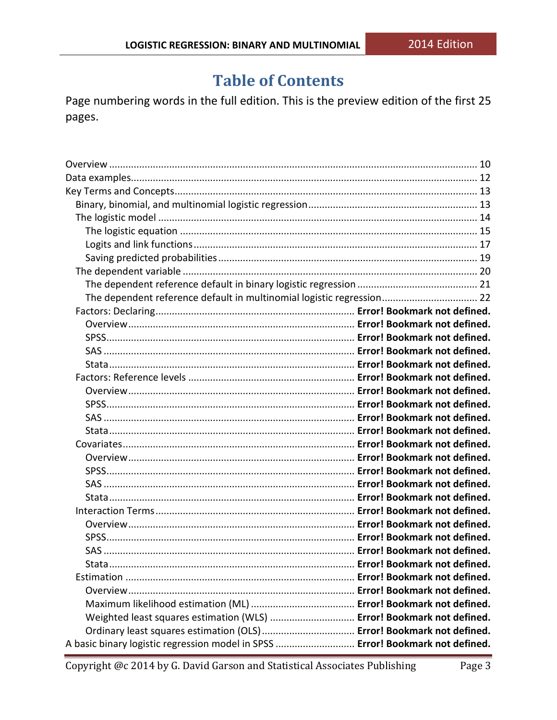# **Table of Contents**

Page numbering words in the full edition. This is the preview edition of the first 25 pages.

| The dependent reference default in multinomial logistic regression 22          |  |  |
|--------------------------------------------------------------------------------|--|--|
|                                                                                |  |  |
|                                                                                |  |  |
|                                                                                |  |  |
|                                                                                |  |  |
|                                                                                |  |  |
|                                                                                |  |  |
|                                                                                |  |  |
|                                                                                |  |  |
|                                                                                |  |  |
|                                                                                |  |  |
|                                                                                |  |  |
|                                                                                |  |  |
|                                                                                |  |  |
|                                                                                |  |  |
|                                                                                |  |  |
|                                                                                |  |  |
|                                                                                |  |  |
|                                                                                |  |  |
|                                                                                |  |  |
|                                                                                |  |  |
|                                                                                |  |  |
|                                                                                |  |  |
|                                                                                |  |  |
| Weighted least squares estimation (WLS)  Error! Bookmark not defined.          |  |  |
|                                                                                |  |  |
| A basic binary logistic regression model in SPSS  Error! Bookmark not defined. |  |  |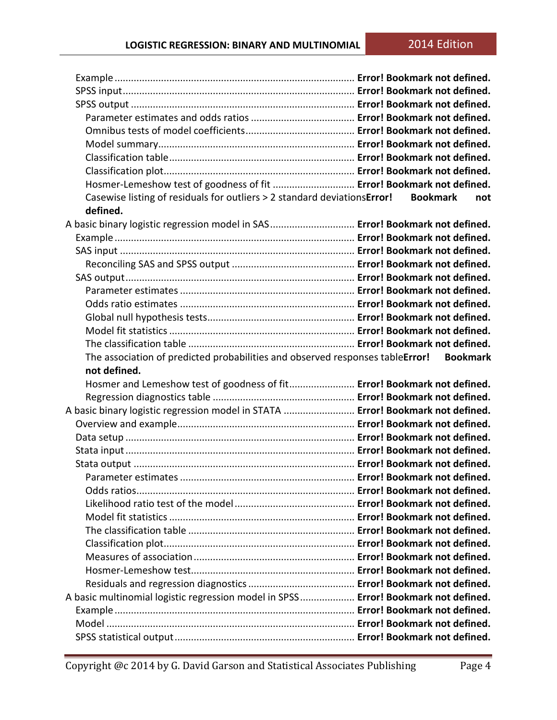| Hosmer-Lemeshow test of goodness of fit  Error! Bookmark not defined.                  |                        |
|----------------------------------------------------------------------------------------|------------------------|
| Casewise listing of residuals for outliers > 2 standard deviationsError!               | <b>Bookmark</b><br>not |
| defined.                                                                               |                        |
| A basic binary logistic regression model in SAS  Error! Bookmark not defined.          |                        |
|                                                                                        |                        |
|                                                                                        |                        |
|                                                                                        |                        |
|                                                                                        |                        |
|                                                                                        |                        |
|                                                                                        |                        |
|                                                                                        |                        |
|                                                                                        |                        |
|                                                                                        |                        |
| The association of predicted probabilities and observed responses tableError! Bookmark |                        |
| not defined.                                                                           |                        |
| Hosmer and Lemeshow test of goodness of fit Error! Bookmark not defined.               |                        |
|                                                                                        |                        |
| A basic binary logistic regression model in STATA  Error! Bookmark not defined.        |                        |
|                                                                                        |                        |
|                                                                                        |                        |
|                                                                                        |                        |
|                                                                                        |                        |
|                                                                                        |                        |
|                                                                                        |                        |
|                                                                                        |                        |
|                                                                                        |                        |
|                                                                                        |                        |
|                                                                                        |                        |
|                                                                                        |                        |
|                                                                                        |                        |
|                                                                                        |                        |
| A basic multinomial logistic regression model in SPSS Error! Bookmark not defined.     |                        |
|                                                                                        |                        |
|                                                                                        |                        |
|                                                                                        |                        |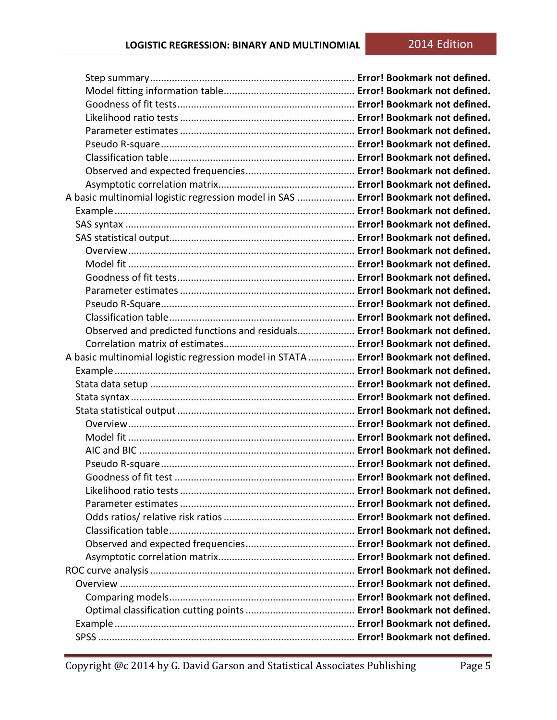| A basic multinomial logistic regression model in SAS  Error! Bookmark not defined.   |  |
|--------------------------------------------------------------------------------------|--|
|                                                                                      |  |
|                                                                                      |  |
|                                                                                      |  |
|                                                                                      |  |
|                                                                                      |  |
|                                                                                      |  |
|                                                                                      |  |
|                                                                                      |  |
|                                                                                      |  |
| Observed and predicted functions and residuals Error! Bookmark not defined.          |  |
|                                                                                      |  |
| A basic multinomial logistic regression model in STATA  Error! Bookmark not defined. |  |
|                                                                                      |  |
|                                                                                      |  |
|                                                                                      |  |
|                                                                                      |  |
|                                                                                      |  |
|                                                                                      |  |
|                                                                                      |  |
|                                                                                      |  |
|                                                                                      |  |
|                                                                                      |  |
|                                                                                      |  |
|                                                                                      |  |
|                                                                                      |  |
|                                                                                      |  |
|                                                                                      |  |
|                                                                                      |  |
|                                                                                      |  |
|                                                                                      |  |
|                                                                                      |  |
|                                                                                      |  |
|                                                                                      |  |

Copyright @c 2014 by G. David Garson and Statistical Associates Publishing Page 5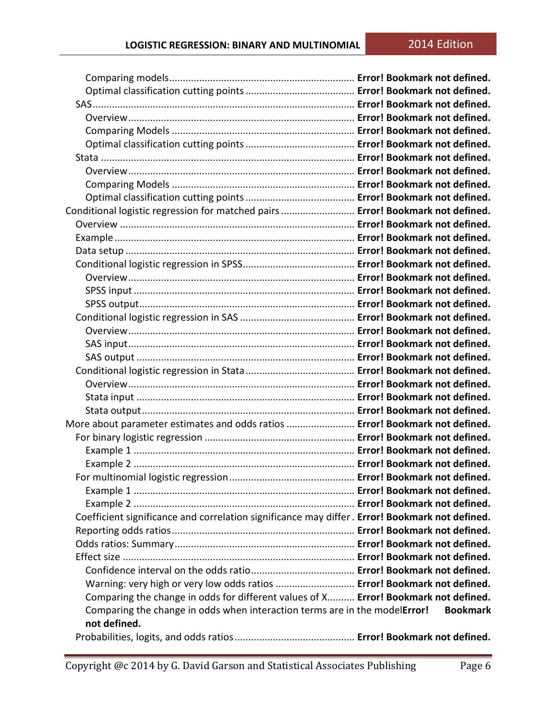| Conditional logistic regression for matched pairs  Error! Bookmark not defined.                |  |                 |
|------------------------------------------------------------------------------------------------|--|-----------------|
|                                                                                                |  |                 |
|                                                                                                |  |                 |
|                                                                                                |  |                 |
|                                                                                                |  |                 |
|                                                                                                |  |                 |
|                                                                                                |  |                 |
|                                                                                                |  |                 |
|                                                                                                |  |                 |
|                                                                                                |  |                 |
|                                                                                                |  |                 |
|                                                                                                |  |                 |
|                                                                                                |  |                 |
|                                                                                                |  |                 |
|                                                                                                |  |                 |
|                                                                                                |  |                 |
| More about parameter estimates and odds ratios  Error! Bookmark not defined.                   |  |                 |
|                                                                                                |  |                 |
|                                                                                                |  |                 |
|                                                                                                |  |                 |
|                                                                                                |  |                 |
|                                                                                                |  |                 |
|                                                                                                |  |                 |
| Coefficient significance and correlation significance may differ. Error! Bookmark not defined. |  |                 |
|                                                                                                |  |                 |
|                                                                                                |  |                 |
|                                                                                                |  |                 |
|                                                                                                |  |                 |
| Warning: very high or very low odds ratios  Error! Bookmark not defined.                       |  |                 |
| Comparing the change in odds for different values of X Error! Bookmark not defined.            |  |                 |
| Comparing the change in odds when interaction terms are in the modelError!<br>not defined.     |  | <b>Bookmark</b> |
|                                                                                                |  |                 |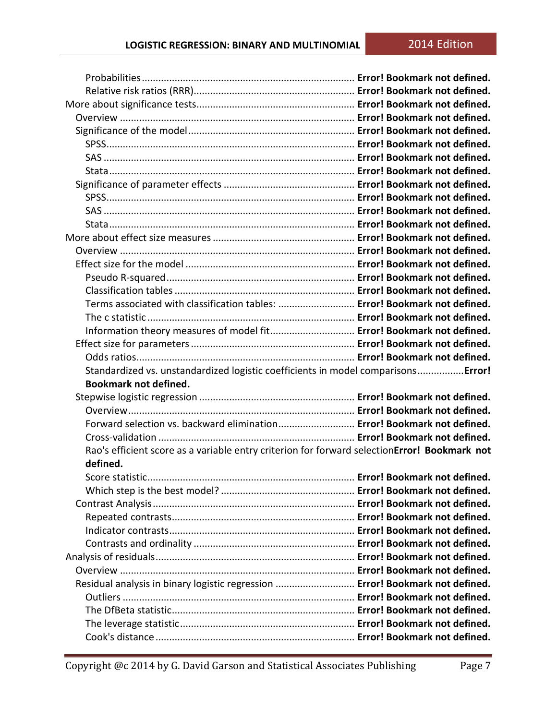| Terms associated with classification tables:  Error! Bookmark not defined.                   |                                     |
|----------------------------------------------------------------------------------------------|-------------------------------------|
|                                                                                              |                                     |
| Information theory measures of model fit Error! Bookmark not defined.                        |                                     |
|                                                                                              |                                     |
|                                                                                              |                                     |
| Standardized vs. unstandardized logistic coefficients in model comparisons Error!            |                                     |
| <b>Bookmark not defined.</b>                                                                 |                                     |
|                                                                                              |                                     |
|                                                                                              |                                     |
| Forward selection vs. backward elimination Error! Bookmark not defined.                      |                                     |
|                                                                                              |                                     |
| Rao's efficient score as a variable entry criterion for forward selectionError! Bookmark not |                                     |
| defined.                                                                                     |                                     |
| Score statistic.                                                                             | <b>Frror! Bookmark not defined.</b> |
|                                                                                              |                                     |
|                                                                                              |                                     |
|                                                                                              |                                     |
|                                                                                              |                                     |
|                                                                                              |                                     |
|                                                                                              |                                     |
|                                                                                              |                                     |
| Residual analysis in binary logistic regression  Error! Bookmark not defined.                |                                     |
|                                                                                              |                                     |
|                                                                                              |                                     |
|                                                                                              |                                     |
|                                                                                              |                                     |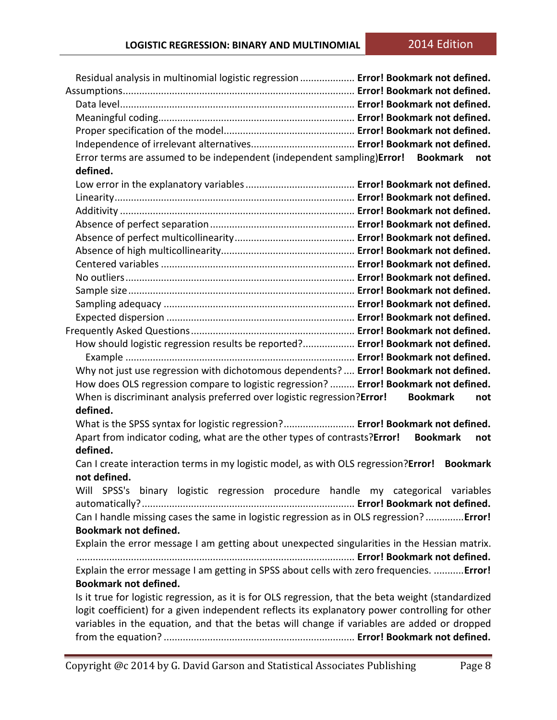| Residual analysis in multinomial logistic regression  Error! Bookmark not defined.                  |                        |
|-----------------------------------------------------------------------------------------------------|------------------------|
|                                                                                                     |                        |
|                                                                                                     |                        |
|                                                                                                     |                        |
|                                                                                                     |                        |
|                                                                                                     |                        |
| Error terms are assumed to be independent (independent sampling)Error! Bookmark                     | not                    |
| defined.                                                                                            |                        |
|                                                                                                     |                        |
|                                                                                                     |                        |
|                                                                                                     |                        |
|                                                                                                     |                        |
|                                                                                                     |                        |
|                                                                                                     |                        |
|                                                                                                     |                        |
|                                                                                                     |                        |
|                                                                                                     |                        |
|                                                                                                     |                        |
|                                                                                                     |                        |
|                                                                                                     |                        |
| How should logistic regression results be reported? Error! Bookmark not defined.                    |                        |
|                                                                                                     |                        |
| Why not just use regression with dichotomous dependents?  Error! Bookmark not defined.              |                        |
| How does OLS regression compare to logistic regression?  Error! Bookmark not defined.               |                        |
| When is discriminant analysis preferred over logistic regression?Error!                             | <b>Bookmark</b><br>not |
| defined.                                                                                            |                        |
| What is the SPSS syntax for logistic regression? Error! Bookmark not defined.                       |                        |
| Apart from indicator coding, what are the other types of contrasts?Error! Bookmark                  | not                    |
| defined.                                                                                            |                        |
| Can I create interaction terms in my logistic model, as with OLS regression?Error! Bookmark         |                        |
| not defined.                                                                                        |                        |
| Will SPSS's binary logistic regression procedure handle my categorical variables                    |                        |
|                                                                                                     |                        |
| Can I handle missing cases the same in logistic regression as in OLS regression?Error!              |                        |
| <b>Bookmark not defined.</b>                                                                        |                        |
| Explain the error message I am getting about unexpected singularities in the Hessian matrix.        |                        |
|                                                                                                     |                        |
| Explain the error message I am getting in SPSS about cells with zero frequencies.  Error!           |                        |
| <b>Bookmark not defined.</b>                                                                        |                        |
|                                                                                                     |                        |
| Is it true for logistic regression, as it is for OLS regression, that the beta weight (standardized |                        |
| logit coefficient) for a given independent reflects its explanatory power controlling for other     |                        |
| variables in the equation, and that the betas will change if variables are added or dropped         |                        |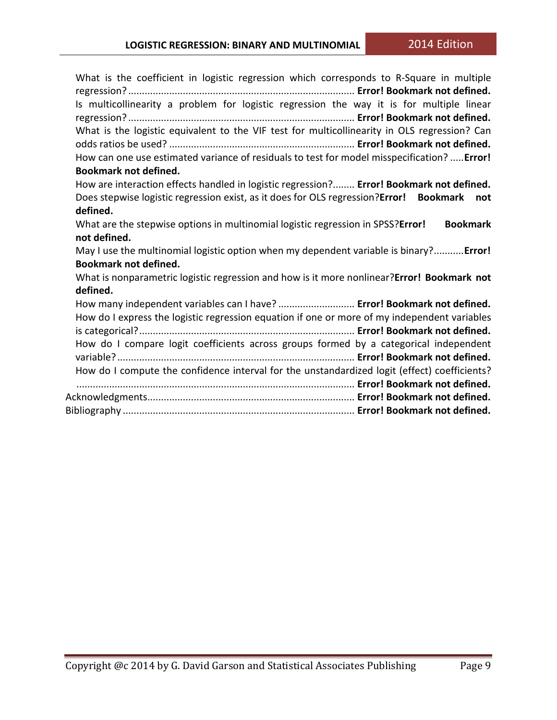| What is the coefficient in logistic regression which corresponds to R-Square in multiple<br>Is multicollinearity a problem for logistic regression the way it is for multiple linear<br>What is the logistic equivalent to the VIF test for multicollinearity in OLS regression? Can |
|--------------------------------------------------------------------------------------------------------------------------------------------------------------------------------------------------------------------------------------------------------------------------------------|
| How can one use estimated variance of residuals to test for model misspecification?  Error!                                                                                                                                                                                          |
| <b>Bookmark not defined.</b>                                                                                                                                                                                                                                                         |
| How are interaction effects handled in logistic regression? Error! Bookmark not defined.                                                                                                                                                                                             |
| Does stepwise logistic regression exist, as it does for OLS regression?Error! Bookmark not                                                                                                                                                                                           |
| defined.                                                                                                                                                                                                                                                                             |
| <b>Bookmark</b><br>What are the stepwise options in multinomial logistic regression in SPSS?Error!                                                                                                                                                                                   |
| not defined.                                                                                                                                                                                                                                                                         |
| May I use the multinomial logistic option when my dependent variable is binary?Error!                                                                                                                                                                                                |
| <b>Bookmark not defined.</b>                                                                                                                                                                                                                                                         |
| What is nonparametric logistic regression and how is it more nonlinear? Error! Bookmark not                                                                                                                                                                                          |
| defined.                                                                                                                                                                                                                                                                             |
| How many independent variables can I have?  Error! Bookmark not defined.                                                                                                                                                                                                             |
| How do I express the logistic regression equation if one or more of my independent variables                                                                                                                                                                                         |
|                                                                                                                                                                                                                                                                                      |
|                                                                                                                                                                                                                                                                                      |
| How do I compare logit coefficients across groups formed by a categorical independent                                                                                                                                                                                                |
|                                                                                                                                                                                                                                                                                      |
| How do I compute the confidence interval for the unstandardized logit (effect) coefficients?                                                                                                                                                                                         |
|                                                                                                                                                                                                                                                                                      |
|                                                                                                                                                                                                                                                                                      |
|                                                                                                                                                                                                                                                                                      |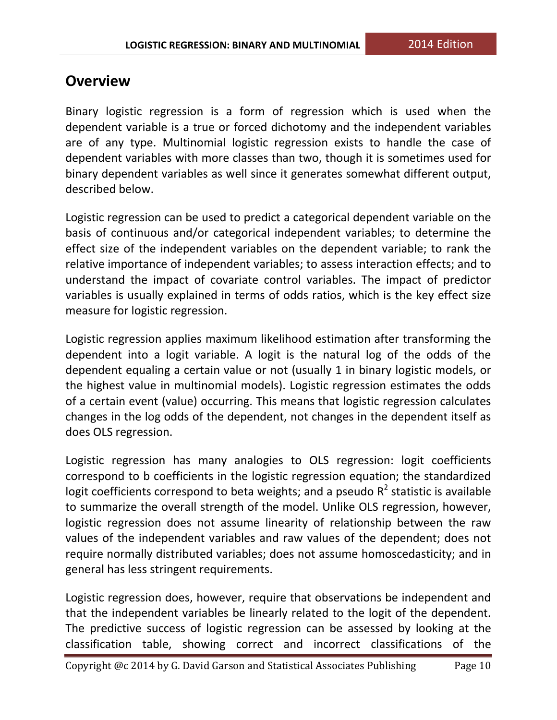## <span id="page-9-0"></span>**Overview**

Binary logistic regression is a form of regression which is used when the dependent variable is a true or forced dichotomy and the independent variables are of any type. Multinomial logistic regression exists to handle the case of dependent variables with more classes than two, though it is sometimes used for binary dependent variables as well since it generates somewhat different output, described below.

Logistic regression can be used to predict a categorical dependent variable on the basis of continuous and/or categorical independent variables; to determine the effect size of the independent variables on the dependent variable; to rank the relative importance of independent variables; to assess interaction effects; and to understand the impact of covariate control variables. The impact of predictor variables is usually explained in terms of odds ratios, which is the key effect size measure for logistic regression.

Logistic regression applies maximum likelihood estimation after transforming the dependent into a logit variable. A logit is the natural log of the odds of the dependent equaling a certain value or not (usually 1 in binary logistic models, or the highest value in multinomial models). Logistic regression estimates the odds of a certain event (value) occurring. This means that logistic regression calculates changes in the log odds of the dependent, not changes in the dependent itself as does OLS regression.

Logistic regression has many analogies to OLS regression: logit coefficients correspond to b coefficients in the logistic regression equation; the standardized logit coefficients correspond to beta weights; and a pseudo  $R^2$  statistic is available to summarize the overall strength of the model. Unlike OLS regression, however, logistic regression does not assume linearity of relationship between the raw values of the independent variables and raw values of the dependent; does not require normally distributed variables; does not assume homoscedasticity; and in general has less stringent requirements.

Logistic regression does, however, require that observations be independent and that the independent variables be linearly related to the logit of the dependent. The predictive success of logistic regression can be assessed by looking at the classification table, showing correct and incorrect classifications of the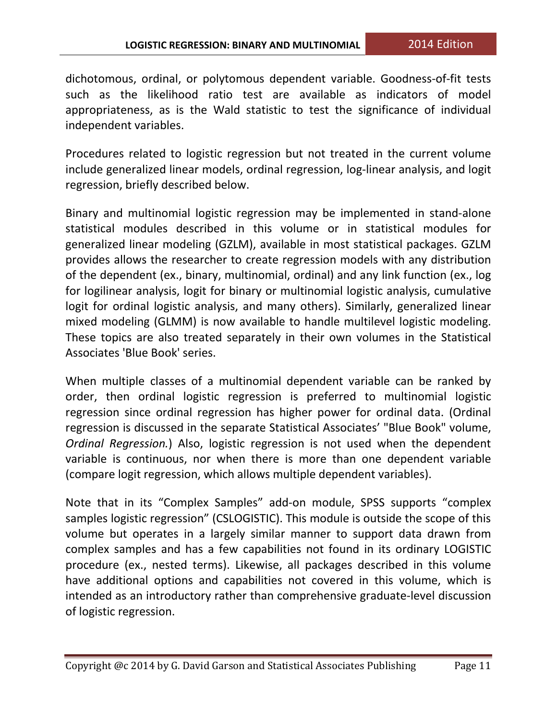dichotomous, ordinal, or polytomous dependent variable. Goodness-of-fit tests such as the likelihood ratio test are available as indicators of model appropriateness, as is the Wald statistic to test the significance of individual independent variables.

Procedures related to logistic regression but not treated in the current volume include generalized linear models, ordinal regression, log-linear analysis, and logit regression, briefly described below.

Binary and multinomial logistic regression may be implemented in stand-alone statistical modules described in this volume or in statistical modules for generalized linear modeling (GZLM), available in most statistical packages. GZLM provides allows the researcher to create regression models with any distribution of the dependent (ex., binary, multinomial, ordinal) and any link function (ex., log for logilinear analysis, logit for binary or multinomial logistic analysis, cumulative logit for ordinal logistic analysis, and many others). Similarly, generalized linear mixed modeling (GLMM) is now available to handle multilevel logistic modeling. These topics are also treated separately in their own volumes in the Statistical Associates 'Blue Book' series.

When multiple classes of a multinomial dependent variable can be ranked by order, then ordinal logistic regression is preferred to multinomial logistic regression since ordinal regression has higher power for ordinal data. (Ordinal regression is discussed in the separate Statistical Associates' "Blue Book" volume, *Ordinal Regression.*) Also, logistic regression is not used when the dependent variable is continuous, nor when there is more than one dependent variable (compare logit regression, which allows multiple dependent variables).

Note that in its "Complex Samples" add-on module, SPSS supports "complex samples logistic regression" (CSLOGISTIC). This module is outside the scope of this volume but operates in a largely similar manner to support data drawn from complex samples and has a few capabilities not found in its ordinary LOGISTIC procedure (ex., nested terms). Likewise, all packages described in this volume have additional options and capabilities not covered in this volume, which is intended as an introductory rather than comprehensive graduate-level discussion of logistic regression.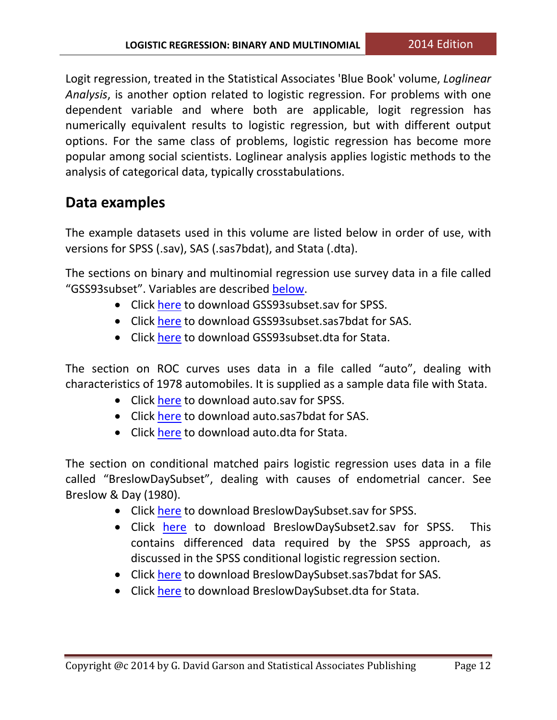Logit regression, treated in the Statistical Associates 'Blue Book' volume, *Loglinear Analysis*, is another option related to logistic regression. For problems with one dependent variable and where both are applicable, logit regression has numerically equivalent results to logistic regression, but with different output options. For the same class of problems, logistic regression has become more popular among social scientists. Loglinear analysis applies logistic methods to the analysis of categorical data, typically crosstabulations.

### <span id="page-11-0"></span>**Data examples**

The example datasets used in this volume are listed below in order of use, with versions for SPSS (.sav), SAS (.sas7bdat), and Stata (.dta).

The sections on binary and multinomial regression use survey data in a file called "GSS93subset". Variables are described below.

- Click [here](http://www.statisticalassociates.com/data/GSS93subset.sav) to download GSS93subset.sav for SPSS.
- Click [here](http://www.statisticalassociates.com/data/GSS93subset.sas7bdat) to download GSS93subset.sas7bdat for SAS.
- Click [here](http://www.statisticalassociates.com/data/GSS93subset.dta) to download GSS93subset.dta for Stata.

The section on ROC curves uses data in a file called "auto", dealing with characteristics of 1978 automobiles. It is supplied as a sample data file with Stata.

- Click [here](http://www.statisticalassociates.com/data/auto.sav) to download auto.sav for SPSS.
- Click [here](http://www.statisticalassociates.com/data/auto.sas7bdat) to download auto.sas7bdat for SAS.
- Click [here](http://www.statisticalassociates.com/data/auto.dta) to download auto.dta for Stata.

The section on conditional matched pairs logistic regression uses data in a file called "BreslowDaySubset", dealing with causes of endometrial cancer. See Breslow & Day (1980).

- Click [here](http://www.statisticalassociates.com/data/BreslowDaySubset.sav) to download BreslowDaySubset.sav for SPSS.
- Click [here](http://www.statisticalassociates.com/data/BreslowDaySubset2.sav) to download BreslowDaySubset2.sav for SPSS. This contains differenced data required by the SPSS approach, as discussed in the SPSS conditional logistic regression section.
- Click [here](http://www.statisticalassociates.com/data/BreslowDaySubset.sas7bdat) to download BreslowDaySubset.sas7bdat for SAS.
- Click [here](http://www.statisticalassociates.com/data/BreslowDaySubset.dta) to download BreslowDaySubset.dta for Stata.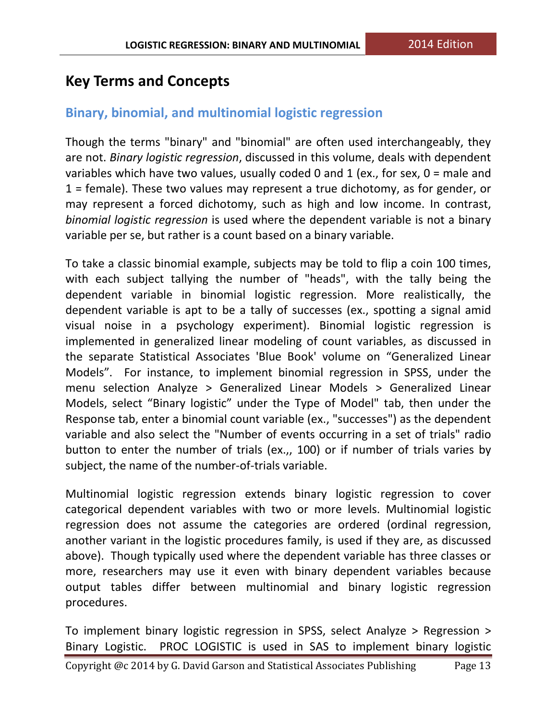# <span id="page-12-0"></span>**Key Terms and Concepts**

### <span id="page-12-1"></span>**Binary, binomial, and multinomial logistic regression**

Though the terms "binary" and "binomial" are often used interchangeably, they are not. *Binary logistic regression*, discussed in this volume, deals with dependent variables which have two values, usually coded 0 and 1 (ex., for sex,  $0 =$  male and 1 = female). These two values may represent a true dichotomy, as for gender, or may represent a forced dichotomy, such as high and low income. In contrast, *binomial logistic regression* is used where the dependent variable is not a binary variable per se, but rather is a count based on a binary variable.

To take a classic binomial example, subjects may be told to flip a coin 100 times, with each subject tallying the number of "heads", with the tally being the dependent variable in binomial logistic regression. More realistically, the dependent variable is apt to be a tally of successes (ex., spotting a signal amid visual noise in a psychology experiment). Binomial logistic regression is implemented in generalized linear modeling of count variables, as discussed in the separate Statistical Associates 'Blue Book' volume on "Generalized Linear Models". For instance, to implement binomial regression in SPSS, under the menu selection Analyze > Generalized Linear Models > Generalized Linear Models, select "Binary logistic" under the Type of Model" tab, then under the Response tab, enter a binomial count variable (ex., "successes") as the dependent variable and also select the "Number of events occurring in a set of trials" radio button to enter the number of trials (ex.,, 100) or if number of trials varies by subject, the name of the number-of-trials variable.

Multinomial logistic regression extends binary logistic regression to cover categorical dependent variables with two or more levels. Multinomial logistic regression does not assume the categories are ordered (ordinal regression, another variant in the logistic procedures family, is used if they are, as discussed above). Though typically used where the dependent variable has three classes or more, researchers may use it even with binary dependent variables because output tables differ between multinomial and binary logistic regression procedures.

To implement binary logistic regression in SPSS, select Analyze > Regression > Binary Logistic. PROC LOGISTIC is used in SAS to implement binary logistic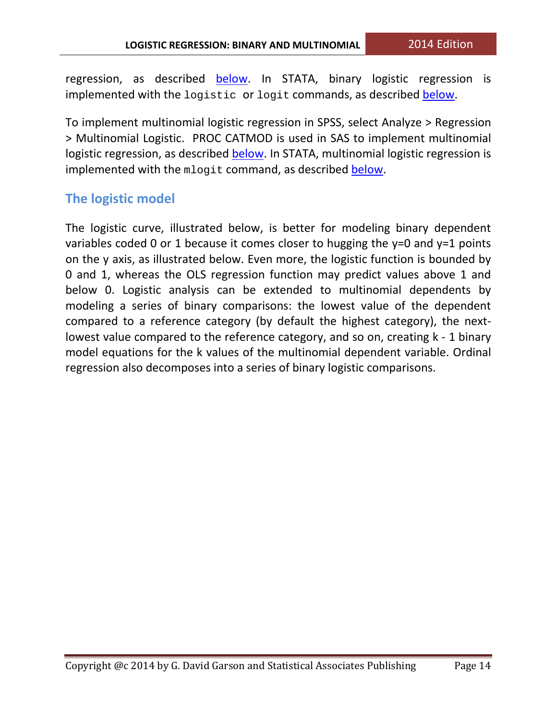regression, as described below. In STATA, binary logistic regression is implemented with the logistic or logit commands, as described below.

To implement multinomial logistic regression in SPSS, select Analyze > Regression > Multinomial Logistic. PROC CATMOD is used in SAS to implement multinomial logistic regression, as described below. In STATA, multinomial logistic regression is implemented with the mlogit command, as described below.

### <span id="page-13-0"></span>**The logistic model**

The logistic curve, illustrated below, is better for modeling binary dependent variables coded 0 or 1 because it comes closer to hugging the  $y=0$  and  $y=1$  points on the y axis, as illustrated below. Even more, the logistic function is bounded by 0 and 1, whereas the OLS regression function may predict values above 1 and below 0. Logistic analysis can be extended to multinomial dependents by modeling a series of binary comparisons: the lowest value of the dependent compared to a reference category (by default the highest category), the nextlowest value compared to the reference category, and so on, creating k - 1 binary model equations for the k values of the multinomial dependent variable. Ordinal regression also decomposes into a series of binary logistic comparisons.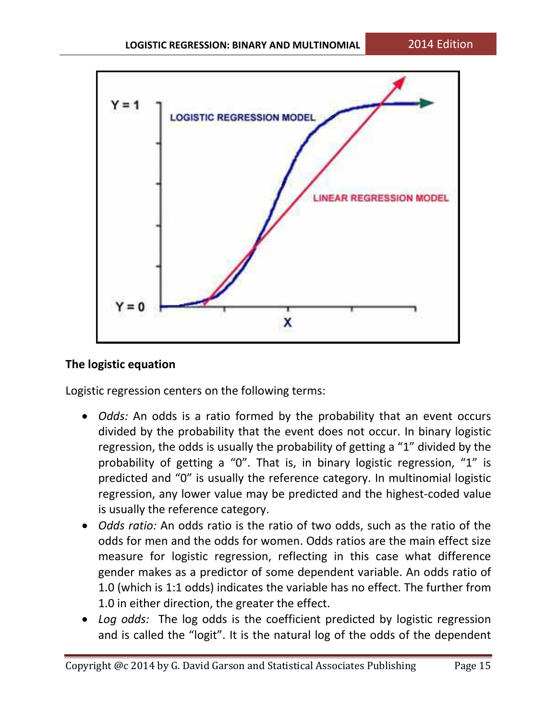<span id="page-14-1"></span>

#### <span id="page-14-0"></span>**The logistic equation**

Logistic regression centers on the following terms:

- *Odds:* An odds is a ratio formed by the probability that an event occurs divided by the probability that the event does not occur. In binary logistic regression, the odds is usually the probability of getting a "1" divided by the probability of getting a "0". That is, in binary logistic regression, "1" is predicted and "0" is usually the reference category. In multinomial logistic regression, any lower value may be predicted and the highest-coded value is usually the reference category.
- *Odds ratio:* An odds ratio is the ratio of two odds, such as the ratio of the odds for men and the odds for women. Odds ratios are the main effect size measure for logistic regression, reflecting in this case what difference gender makes as a predictor of some dependent variable. An odds ratio of 1.0 (which is 1:1 odds) indicates the variable has no effect. The further from 1.0 in either direction, the greater the effect.
- *Log odds:* The log odds is the coefficient predicted by logistic regression and is called the "logit". It is the natural log of the odds of the dependent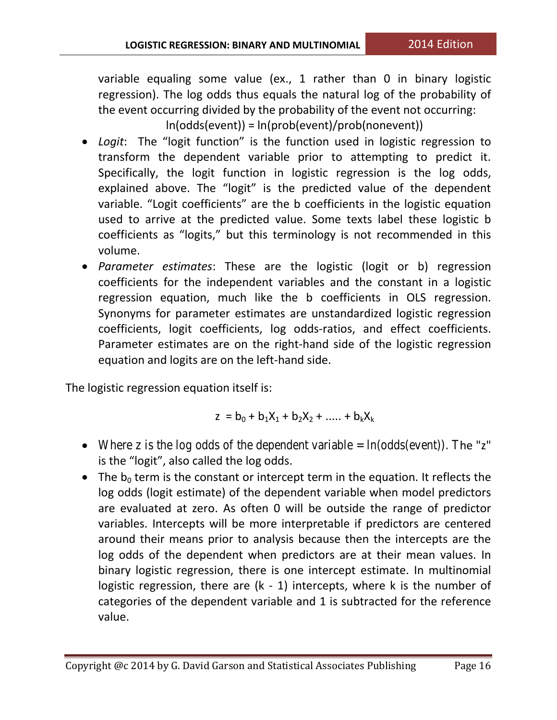variable equaling some value (ex., 1 rather than 0 in binary logistic regression). The log odds thus equals the natural log of the probability of the event occurring divided by the probability of the event not occurring: ln(odds(event)) = ln(prob(event)/prob(nonevent))

- *Logit*: The "logit function" is the function used in logistic regression to transform the dependent variable prior to attempting to predict it. Specifically, the logit function in logistic regression is the log odds, explained above. The "logit" is the predicted value of the dependent variable. "Logit coefficients" are the b coefficients in the logistic equation used to arrive at the predicted value. Some texts label these logistic b coefficients as "logits," but this terminology is not recommended in this volume.
- *Parameter estimates*: These are the logistic (logit or b) regression coefficients for the independent variables and the constant in a logistic regression equation, much like the b coefficients in OLS regression. Synonyms for parameter estimates are unstandardized logistic regression coefficients, logit coefficients, log odds-ratios, and effect coefficients. Parameter estimates are on the right-hand side of the logistic regression equation and logits are on the left-hand side.

The logistic regression equation itself is:

$$
z = b_0 + b_1 X_1 + b_2 X_2 + \dots + b_k X_k
$$

- Where z is the log odds of the dependent variable  $= ln(odds(event))$ . The "z" is the "logit", also called the log odds.
- The  $b_0$  term is the constant or intercept term in the equation. It reflects the log odds (logit estimate) of the dependent variable when model predictors are evaluated at zero. As often 0 will be outside the range of predictor variables. Intercepts will be more interpretable if predictors are centered around their means prior to analysis because then the intercepts are the log odds of the dependent when predictors are at their mean values. In binary logistic regression, there is one intercept estimate. In multinomial logistic regression, there are  $(k - 1)$  intercepts, where k is the number of categories of the dependent variable and 1 is subtracted for the reference value.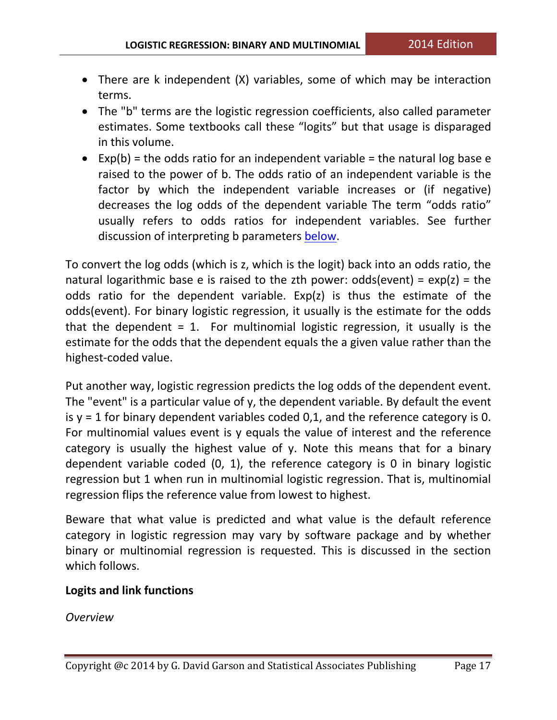- There are k independent (X) variables, some of which may be interaction terms.
- The "b" terms are the logistic regression coefficients, also called parameter estimates. Some textbooks call these "logits" but that usage is disparaged in this volume.
- <span id="page-16-1"></span>• Exp(b) = the odds ratio for an independent variable = the natural log base e raised to the power of b. The odds ratio of an independent variable is the factor by which the independent variable increases or (if negative) decreases the log odds of the dependent variable The term "odds ratio" usually refers to odds ratios for independent variables. See further discussion of interpreting b parameters below.

To convert the log odds (which is z, which is the logit) back into an odds ratio, the natural logarithmic base e is raised to the zth power: odds(event) =  $exp(z)$  = the odds ratio for the dependent variable. Exp(z) is thus the estimate of the odds(event). For binary logistic regression, it usually is the estimate for the odds that the dependent = 1. For multinomial logistic regression, it usually is the estimate for the odds that the dependent equals the a given value rather than the highest-coded value.

Put another way, logistic regression predicts the log odds of the dependent event. The "event" is a particular value of y, the dependent variable. By default the event is  $y = 1$  for binary dependent variables coded 0,1, and the reference category is 0. For multinomial values event is y equals the value of interest and the reference category is usually the highest value of y. Note this means that for a binary dependent variable coded (0, 1), the reference category is 0 in binary logistic regression but 1 when run in multinomial logistic regression. That is, multinomial regression flips the reference value from lowest to highest.

Beware that what value is predicted and what value is the default reference category in logistic regression may vary by software package and by whether binary or multinomial regression is requested. This is discussed in the section which follows.

#### <span id="page-16-0"></span>**Logits and link functions**

*Overview*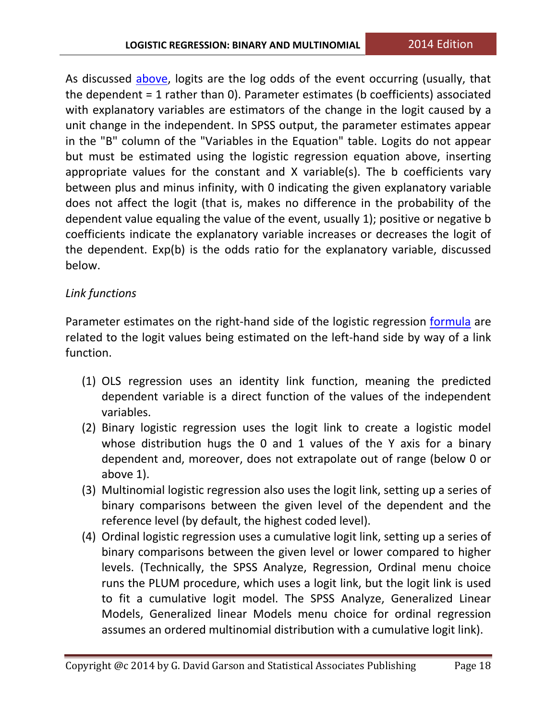As discussed [above,](#page-14-1) logits are the log odds of the event occurring (usually, that the dependent = 1 rather than 0). Parameter estimates (b coefficients) associated with explanatory variables are estimators of the change in the logit caused by a unit change in the independent. In SPSS output, the parameter estimates appear in the "B" column of the "Variables in the Equation" table. Logits do not appear but must be estimated using the logistic regression equation above, inserting appropriate values for the constant and X variable(s). The b coefficients vary between plus and minus infinity, with 0 indicating the given explanatory variable does not affect the logit (that is, makes no difference in the probability of the dependent value equaling the value of the event, usually 1); positive or negative b coefficients indicate the explanatory variable increases or decreases the logit of the dependent. Exp(b) is the odds ratio for the explanatory variable, discussed below.

### *Link functions*

Parameter estimates on the right-hand side of the logistic regression [formula](#page-14-1) are related to the logit values being estimated on the left-hand side by way of a link function.

- (1) OLS regression uses an identity link function, meaning the predicted dependent variable is a direct function of the values of the independent variables.
- (2) Binary logistic regression uses the logit link to create a logistic model whose distribution hugs the 0 and 1 values of the Y axis for a binary dependent and, moreover, does not extrapolate out of range (below 0 or above 1).
- (3) Multinomial logistic regression also uses the logit link, setting up a series of binary comparisons between the given level of the dependent and the reference level (by default, the highest coded level).
- (4) Ordinal logistic regression uses a cumulative logit link, setting up a series of binary comparisons between the given level or lower compared to higher levels. (Technically, the SPSS Analyze, Regression, Ordinal menu choice runs the PLUM procedure, which uses a logit link, but the logit link is used to fit a cumulative logit model. The SPSS Analyze, Generalized Linear Models, Generalized linear Models menu choice for ordinal regression assumes an ordered multinomial distribution with a cumulative logit link).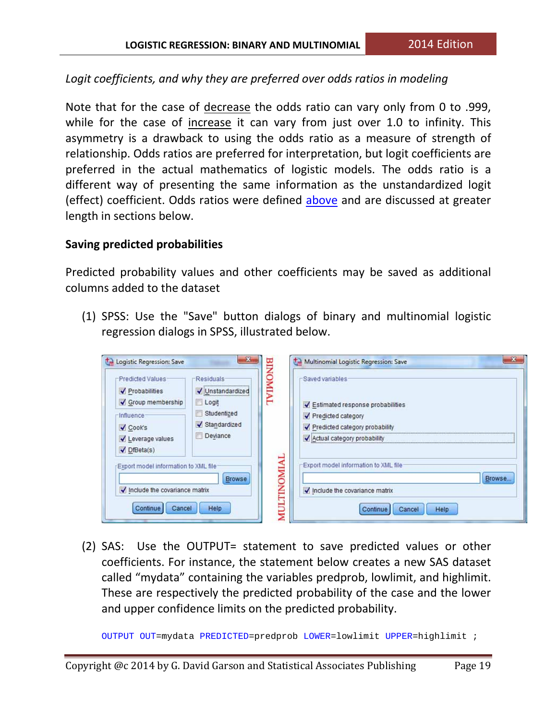#### *Logit coefficients, and why they are preferred over odds ratios in modeling*

Note that for the case of decrease the odds ratio can vary only from 0 to .999, while for the case of increase it can vary from just over 1.0 to infinity. This asymmetry is a drawback to using the odds ratio as a measure of strength of relationship. Odds ratios are preferred for interpretation, but logit coefficients are preferred in the actual mathematics of logistic models. The odds ratio is a different way of presenting the same information as the unstandardized logit (effect) coefficient. Odds ratios were defined [above](#page-16-1) and are discussed at greater length in sections below.

#### <span id="page-18-0"></span>**Saving predicted probabilities**

Predicted probability values and other coefficients may be saved as additional columns added to the dataset

(1) SPSS: Use the "Save" button dialogs of binary and multinomial logistic regression dialogs in SPSS, illustrated below.

| La Logistic Regression: Save                                                                                                                                        |                                                                                                |                         | <b>La Multinomial Logistic Regression: Save</b>                                                                                            |
|---------------------------------------------------------------------------------------------------------------------------------------------------------------------|------------------------------------------------------------------------------------------------|-------------------------|--------------------------------------------------------------------------------------------------------------------------------------------|
| Predicted Values<br>Probabilities<br>Group membership<br>Influence <sup>-</sup><br>$\sqrt{\frac{1}{2}}$ Cook's<br>Leverage values<br>$\blacktriangledown$ DfBeta(s) | Residuals <sup>-</sup><br>Unstandardized<br>Logit<br>Studentized<br>√ Standardized<br>Deviance | <b>BINOMIAL</b>         | Saved variables<br>Estimated response probabilities<br>Predicted category<br>Predicted category probability<br>Actual category probability |
| Export model information to XML file<br>Include the covariance matrix<br>Continue<br>Cancel                                                                         | <b>Browse</b><br>Help                                                                          | <b>IIMION</b><br>≘<br>₹ | Export model information to XML file<br>Browse.<br>Include the covariance matrix<br>Help<br>Cancel<br>Continue                             |

(2) SAS: Use the OUTPUT= statement to save predicted values or other coefficients. For instance, the statement below creates a new SAS dataset called "mydata" containing the variables predprob, lowlimit, and highlimit. These are respectively the predicted probability of the case and the lower and upper confidence limits on the predicted probability.

OUTPUT OUT=mydata PREDICTED=predprob LOWER=lowlimit UPPER=highlimit ;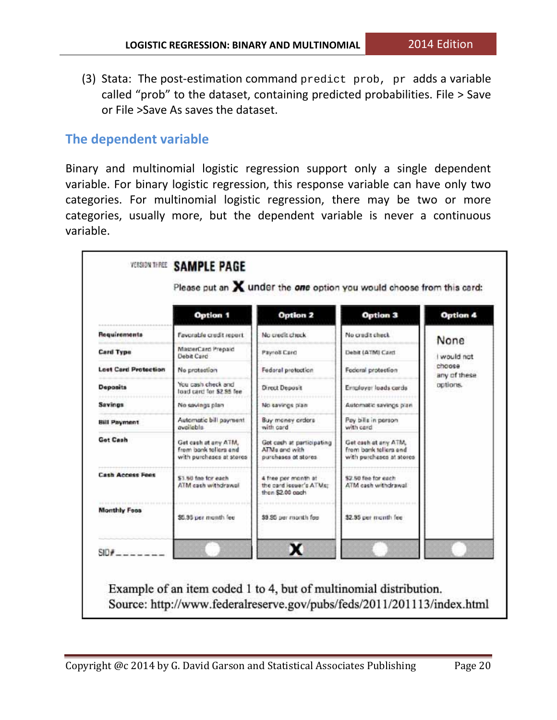(3) Stata: The post-estimation command predict prob, pr adds a variable called "prob" to the dataset, containing predicted probabilities. File > Save or File >Save As saves the dataset.

#### <span id="page-19-0"></span>**The dependent variable**

Binary and multinomial logistic regression support only a single dependent variable. For binary logistic regression, this response variable can have only two categories. For multinomial logistic regression, there may be two or more categories, usually more, but the dependent variable is never a continuous variable.

|                             | <b>Option 1</b>                                                           | <b>Option 2</b>                                                    | <b>Option 3</b>                                                           | Option 4               |
|-----------------------------|---------------------------------------------------------------------------|--------------------------------------------------------------------|---------------------------------------------------------------------------|------------------------|
| Requirements                | Favorable credit report                                                   | No credit check                                                    | No credit check                                                           | None                   |
| <b>Card Type</b>            | MasterCard Prepaid<br><b>Debit Card</b>                                   | Payroll Card                                                       | Debit (ATMI Card                                                          | would not              |
| <b>Lost Card Protection</b> | No protestion                                                             | Federal protection                                                 | Federal protection                                                        | choose<br>any of these |
| Deposits                    | You cash check and<br>load card for \$2.95 fee                            | Direct Deposit                                                     | Employer loads cards                                                      | potions.               |
| <b>Savings</b>              | No savings plan                                                           | No cavings plan                                                    | Automatic savings plan                                                    |                        |
| <b>Bill Payment</b>         | Automatic bill payment<br>available                                       | Buy money orders<br>with card                                      | Pay bills in person<br>with card.                                         |                        |
| Got Cash                    | Get cash at any ATM,<br>from bank tollars and<br>with purchases at stores | Got cash at participating<br>ATMs and with<br>purchases at stores  | Get cash at any ATM,<br>from bank tollers and<br>with purchases at stores |                        |
| <b>Cash Access Fees</b>     | \$1.50 fee for each<br>ATM cash withdrawal                                | 4 free per month at<br>the card issuer's ATMs:<br>then \$2.00 each | \$2.50 fee for each<br>ATM cash withdrawal                                |                        |
| <b>Monthly Fees</b>         | \$5.95 per month fee                                                      | \$9.95 per month fee                                               | \$2.95 per month fee                                                      |                        |
| $SID =$                     |                                                                           | Х                                                                  |                                                                           |                        |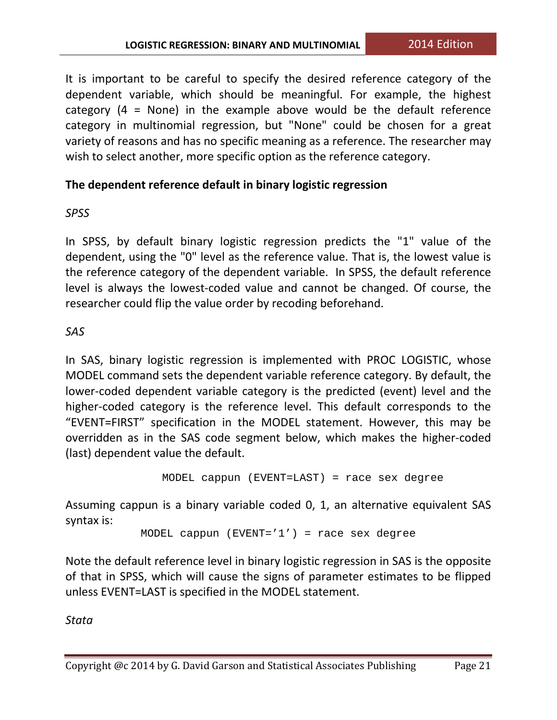It is important to be careful to specify the desired reference category of the dependent variable, which should be meaningful. For example, the highest category  $(4 = None)$  in the example above would be the default reference category in multinomial regression, but "None" could be chosen for a great variety of reasons and has no specific meaning as a reference. The researcher may wish to select another, more specific option as the reference category.

#### <span id="page-20-0"></span>**The dependent reference default in binary logistic regression**

#### *SPSS*

In SPSS, by default binary logistic regression predicts the "1" value of the dependent, using the "0" level as the reference value. That is, the lowest value is the reference category of the dependent variable. In SPSS, the default reference level is always the lowest-coded value and cannot be changed. Of course, the researcher could flip the value order by recoding beforehand.

#### *SAS*

In SAS, binary logistic regression is implemented with PROC LOGISTIC, whose MODEL command sets the dependent variable reference category. By default, the lower-coded dependent variable category is the predicted (event) level and the higher-coded category is the reference level. This default corresponds to the "EVENT=FIRST" specification in the MODEL statement. However, this may be overridden as in the SAS code segment below, which makes the higher-coded (last) dependent value the default.

```
MODEL cappun (EVENT=LAST) = race sex degree
```
Assuming cappun is a binary variable coded 0, 1, an alternative equivalent SAS syntax is:

```
MODEL cappun (EVENT='1') = race sex degree
```
Note the default reference level in binary logistic regression in SAS is the opposite of that in SPSS, which will cause the signs of parameter estimates to be flipped unless EVENT=LAST is specified in the MODEL statement.

*Stata*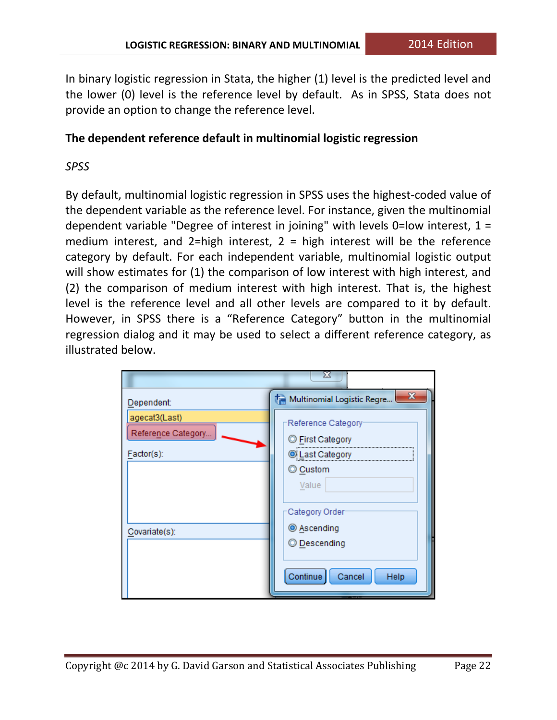In binary logistic regression in Stata, the higher (1) level is the predicted level and the lower (0) level is the reference level by default. As in SPSS, Stata does not provide an option to change the reference level.

#### <span id="page-21-0"></span>**The dependent reference default in multinomial logistic regression**

#### *SPSS*

By default, multinomial logistic regression in SPSS uses the highest-coded value of the dependent variable as the reference level. For instance, given the multinomial dependent variable "Degree of interest in joining" with levels 0=low interest,  $1 =$ medium interest, and 2=high interest,  $2$  = high interest will be the reference category by default. For each independent variable, multinomial logistic output will show estimates for (1) the comparison of low interest with high interest, and (2) the comparison of medium interest with high interest. That is, the highest level is the reference level and all other levels are compared to it by default. However, in SPSS there is a "Reference Category" button in the multinomial regression dialog and it may be used to select a different reference category, as illustrated below.

| Dependent:         | x<br>Multinomial Logistic Regre |
|--------------------|---------------------------------|
| agecat3(Last)      | Reference Category              |
| Reference Category | ◎ First Category                |
| Factor(s):         | ◉ Last Category                 |
|                    | © Custom                        |
|                    | Value                           |
|                    | Category Order                  |
| Covariate(s):      | Ascending                       |
|                    | © Descending                    |
|                    | Continue<br>Cancel<br>Help      |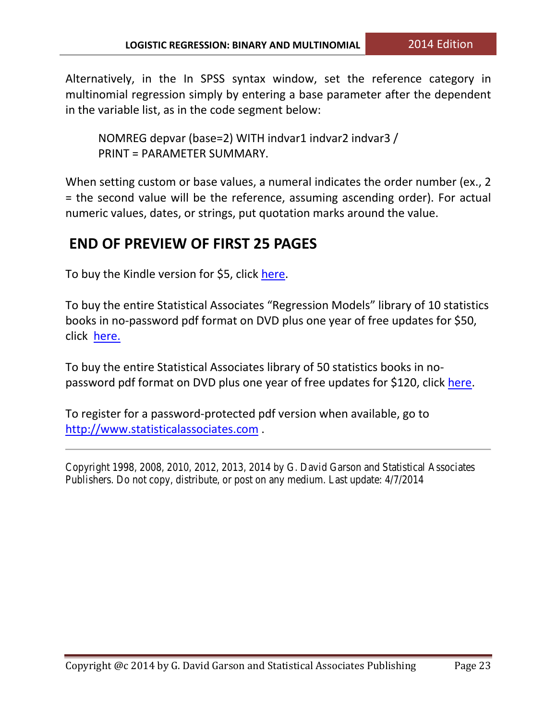Alternatively, in the In SPSS syntax window, set the reference category in multinomial regression simply by entering a base parameter after the dependent in the variable list, as in the code segment below:

NOMREG depvar (base=2) WITH indvar1 indvar2 indvar3 / PRINT = PARAMETER SUMMARY.

When setting custom or base values, a numeral indicates the order number (ex., 2 = the second value will be the reference, assuming ascending order). For actual numeric values, dates, or strings, put quotation marks around the value.

# **END OF PREVIEW OF FIRST 25 PAGES**

To buy the Kindle version for \$5, click [here.](http://www.amazon.com/dp/B007ZK7MSQ)

To buy the entire Statistical Associates "Regression Models" library of 10 statistics books in no-password pdf format on DVD plus one year of free updates for \$50, click [here.](http://www.amazon.com/dp/1626380252)

To buy the entire Statistical Associates library of 50 statistics books in nopassword pdf format on DVD plus one year of free updates for \$120, click [here.](http://www.amazon.com/Statistical-Associates-Library-David-Garson/dp/1626380201)

To register for a password-protected pdf version when available, go to [http://www.statisticalassociates.com](http://www.statisticalassociates.com/) .

Copyright 1998, 2008, 2010, 2012, 2013, 2014 by G. David Garson and Statistical Associates Publishers. Do not copy, distribute, or post on any medium. Last update: 4/7/2014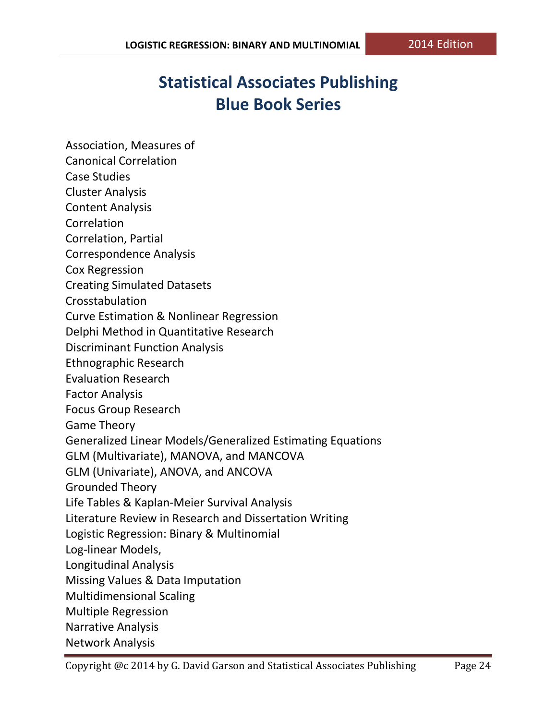Association, Measures of

# **Statistical Associates Publishing Blue Book Series**

Canonical Correlation Case Studies Cluster Analysis Content Analysis Correlation Correlation, Partial Correspondence Analysis Cox Regression Creating Simulated Datasets Crosstabulation Curve Estimation & Nonlinear Regression Delphi Method in Quantitative Research Discriminant Function Analysis Ethnographic Research Evaluation Research Factor Analysis Focus Group Research Game Theory Generalized Linear Models/Generalized Estimating Equations GLM (Multivariate), MANOVA, and MANCOVA GLM (Univariate), ANOVA, and ANCOVA Grounded Theory Life Tables & Kaplan-Meier Survival Analysis Literature Review in Research and Dissertation Writing Logistic Regression: Binary & Multinomial Log-linear Models, Longitudinal Analysis Missing Values & Data Imputation Multidimensional Scaling Multiple Regression Narrative Analysis Network Analysis